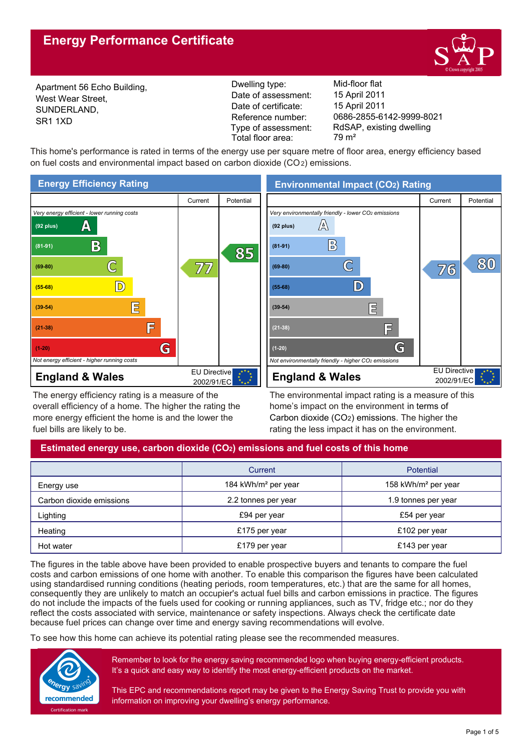# **Energy Performance Certificate**



Apartment 56 Echo Building, West Wear Street. SUNDERLAND, SR1 1XD

Reference number: Dwelling type: Mid-floor flat Date of certificate: Date of assessment: 15 April 2011 Type of assessment: Total floor area: 79 m<sup>2</sup>

0686-2855-6142-9999-8021 15 April 2011 RdSAP, existing dwelling

This home's performance is rated in terms of the energy use per square metre of floor area, energy efficiency based on fuel costs and environmental impact based on carbon dioxide (CO2) emissions.



The energy efficiency rating is a measure of the overall efficiency of a home. The higher the rating the more energy efficient the home is and the lower the fuel bills are likely to be.

**Environmental Impact (CO2) Rating**



The environmental impact rating is a measure of this home's impact on the environment in terms of Carbon dioxide (CO2) emissions. The higher the rating the less impact it has on the environment.

# **Estimated energy use, carbon dioxide (CO2) emissions and fuel costs of this home**

|                          | Current                         | Potential                       |
|--------------------------|---------------------------------|---------------------------------|
| Energy use               | 184 kWh/m <sup>2</sup> per year | 158 kWh/m <sup>2</sup> per year |
| Carbon dioxide emissions | 2.2 tonnes per year             | 1.9 tonnes per year             |
| Lighting                 | £94 per year                    | £54 per year                    |
| Heating                  | £175 per year                   | £102 per year                   |
| Hot water                | £179 per year                   | £143 per year                   |

The figures in the table above have been provided to enable prospective buyers and tenants to compare the fuel costs and carbon emissions of one home with another. To enable this comparison the figures have been calculated using standardised running conditions (heating periods, room temperatures, etc.) that are the same for all homes, consequently they are unlikely to match an occupier's actual fuel bills and carbon emissions in practice. The figures do not include the impacts of the fuels used for cooking or running appliances, such as TV, fridge etc.; nor do they reflect the costs associated with service, maintenance or safety inspections. Always check the certificate date because fuel prices can change over time and energy saving recommendations will evolve.

To see how this home can achieve its potential rating please see the recommended measures.



Remember to look for the energy saving recommended logo when buying energy-efficient products. It's a quick and easy way to identify the most energy-efficient products on the market.

This EPC and recommendations report may be given to the Energy Saving Trust to provide you with information on improving your dwelling's energy performance.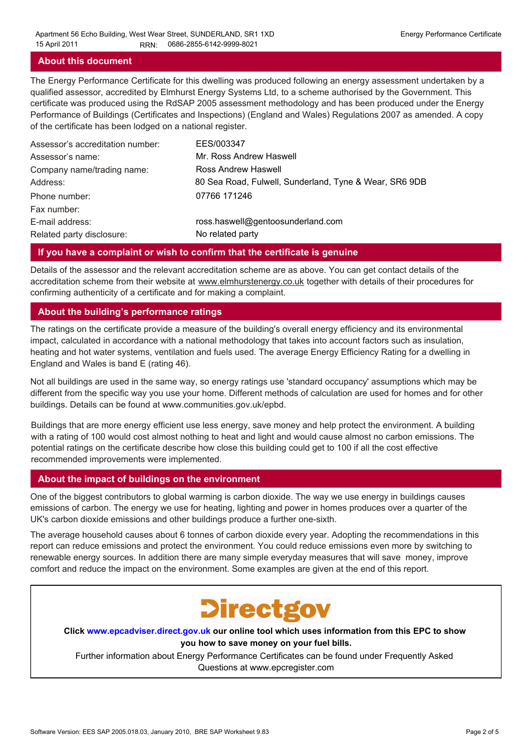# **About this document**

The Energy Performance Certificate for this dwelling was produced following an energy assessment undertaken by a qualified assessor, accredited by Elmhurst Energy Systems Ltd, to a scheme authorised by the Government. This certificate was produced using the RdSAP 2005 assessment methodology and has been produced under the Energy Performance of Buildings (Certificates and Inspections) (England and Wales) Regulations 2007 as amended. A copy of the certificate has been lodged on a national register.

| Assessor's accreditation number: | EES/003347                                             |
|----------------------------------|--------------------------------------------------------|
| Assessor's name:                 | Mr. Ross Andrew Haswell                                |
| Company name/trading name:       | Ross Andrew Haswell                                    |
| Address:                         | 80 Sea Road, Fulwell, Sunderland, Tyne & Wear, SR6 9DB |
| Phone number:                    | 07766 171246                                           |
| Fax number:                      |                                                        |
| E-mail address:                  | ross.haswell@gentoosunderland.com                      |
| Related party disclosure:        | No related party                                       |

### **If you have a complaint or wish to confirm that the certificate is genuine**

Details of the assessor and the relevant accreditation scheme are as above. You can get contact details of the accreditation scheme from their website at www.elmhurstenergy.co.uk together with details of their procedures for confirming authenticity of a certificate and for making a complaint.

## **About the building's performance ratings**

The ratings on the certificate provide a measure of the building's overall energy efficiency and its environmental impact, calculated in accordance with a national methodology that takes into account factors such as insulation, heating and hot water systems, ventilation and fuels used. The average Energy Efficiency Rating for a dwelling in England and Wales is band E (rating 46).

Not all buildings are used in the same way, so energy ratings use 'standard occupancy' assumptions which may be different from the specific way you use your home. Different methods of calculation are used for homes and for other buildings. Details can be found at www.communities.gov.uk/epbd.

Buildings that are more energy efficient use less energy, save money and help protect the environment. A building with a rating of 100 would cost almost nothing to heat and light and would cause almost no carbon emissions. The potential ratings on the certificate describe how close this building could get to 100 if all the cost effective recommended improvements were implemented.

# **About the impact of buildings on the environment**

One of the biggest contributors to global warming is carbon dioxide. The way we use energy in buildings causes emissions of carbon. The energy we use for heating, lighting and power in homes produces over a quarter of the UK's carbon dioxide emissions and other buildings produce a further one-sixth.

The average household causes about 6 tonnes of carbon dioxide every year. Adopting the recommendations in this report can reduce emissions and protect the environment. You could reduce emissions even more by switching to renewable energy sources. In addition there are many simple everyday measures that will save money, improve comfort and reduce the impact on the environment. Some examples are given at the end of this report.

# **Directgov**

**Click www.epcadviser.direct.gov.uk our online tool which uses information from this EPC to show you how to save money on your fuel bills.**

Further information about Energy Performance Certificates can be found under Frequently Asked [Questions at www.epcregister.com](http://www.epcadviser.direct.gov.uk)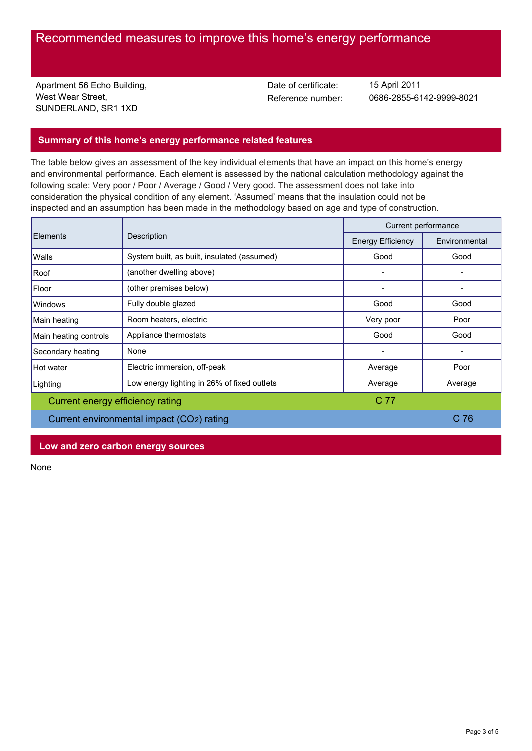# Recommended measures to improve this home's energy performance

Apartment 56 Echo Building, West Wear Street, SUNDERLAND, SR1 1XD

Date of certificate:

Reference number: 0686-2855-6142-9999-8021 15 April 2011

## **Summary of this home's energy performance related features**

The table below gives an assessment of the key individual elements that have an impact on this home's energy and environmental performance. Each element is assessed by the national calculation methodology against the following scale: Very poor / Poor / Average / Good / Very good. The assessment does not take into consideration the physical condition of any element. 'Assumed' means that the insulation could not be inspected and an assumption has been made in the methodology based on age and type of construction.

| <b>Elements</b>                           | Description                                 |                          | Current performance |  |
|-------------------------------------------|---------------------------------------------|--------------------------|---------------------|--|
|                                           |                                             | <b>Energy Efficiency</b> | Environmental       |  |
| Walls                                     | System built, as built, insulated (assumed) | Good                     | Good                |  |
| Roof                                      | (another dwelling above)                    | $\overline{\phantom{0}}$ |                     |  |
| Floor                                     | (other premises below)                      |                          |                     |  |
| <b>Windows</b>                            | Fully double glazed                         | Good                     | Good                |  |
| Main heating                              | Room heaters, electric                      | Very poor                | Poor                |  |
| Main heating controls                     | Appliance thermostats                       | Good                     | Good                |  |
| Secondary heating                         | None                                        | -                        |                     |  |
| Hot water                                 | Electric immersion, off-peak                | Average                  | Poor                |  |
| Lighting                                  | Low energy lighting in 26% of fixed outlets | Average                  | Average             |  |
| Current energy efficiency rating          |                                             | C 77                     |                     |  |
| Current environmental impact (CO2) rating |                                             |                          | C 76                |  |

#### **Low and zero carbon energy sources**

None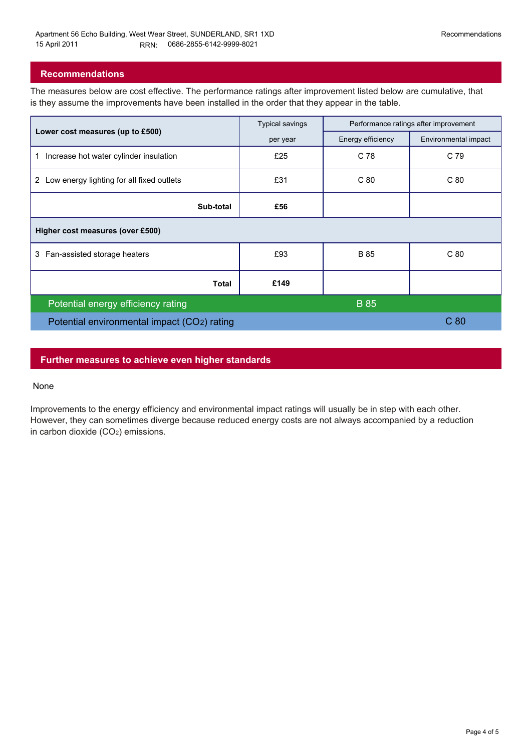# **Recommendations**

The measures below are cost effective. The performance ratings after improvement listed below are cumulative, that is they assume the improvements have been installed in the order that they appear in the table.

|                                             | <b>Typical savings</b> | Performance ratings after improvement |                      |
|---------------------------------------------|------------------------|---------------------------------------|----------------------|
| Lower cost measures (up to £500)            | per year               | Energy efficiency                     | Environmental impact |
| Increase hot water cylinder insulation      | £25                    | C 78                                  | C 79                 |
| 2 Low energy lighting for all fixed outlets | £31                    | C80                                   | C <sub>80</sub>      |
| Sub-total                                   | £56                    |                                       |                      |
| Higher cost measures (over £500)            |                        |                                       |                      |
| Fan-assisted storage heaters<br>3           | £93                    | B 85                                  | C80                  |
| <b>Total</b>                                | £149                   |                                       |                      |
| Potential energy efficiency rating          |                        | <b>B</b> 85                           |                      |
| Potential environmental impact (CO2) rating |                        |                                       | C <sub>80</sub>      |

## **Further measures to achieve even higher standards**

None

Improvements to the energy efficiency and environmental impact ratings will usually be in step with each other. However, they can sometimes diverge because reduced energy costs are not always accompanied by a reduction in carbon dioxide (CO2) emissions.